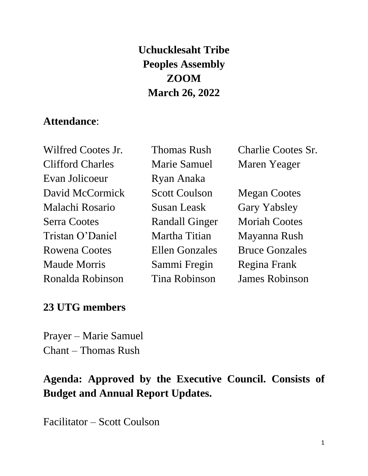# **Uchucklesaht Tribe Peoples Assembly ZOOM March 26, 2022**

#### **Attendance**:

Wilfred Cootes Jr. Thomas Rush Charlie Cootes Sr. Clifford Charles Marie Samuel Maren Yeager Evan Jolicoeur Ryan Anaka David McCormick Scott Coulson Megan Cootes Malachi Rosario Susan Leask Gary Yabsley Serra Cootes Randall Ginger Moriah Cootes Tristan O'Daniel Martha Titian Mayanna Rush Rowena Cootes Ellen Gonzales Bruce Gonzales Maude Morris Sammi Fregin Regina Frank Ronalda Robinson Tina Robinson James Robinson

#### **23 UTG members**

Prayer – Marie Samuel Chant – Thomas Rush

## **Agenda: Approved by the Executive Council. Consists of Budget and Annual Report Updates.**

Facilitator – Scott Coulson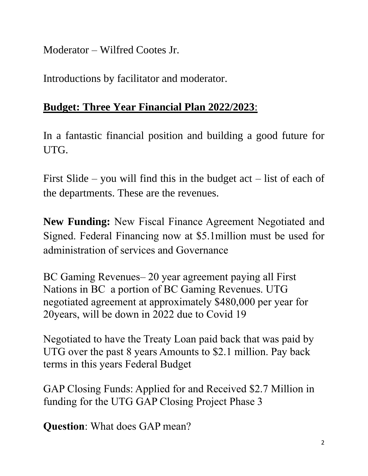Moderator – Wilfred Cootes Jr.

Introductions by facilitator and moderator.

### **Budget: Three Year Financial Plan 2022/2023**:

In a fantastic financial position and building a good future for UTG.

First Slide – you will find this in the budget  $act$  – list of each of the departments. These are the revenues.

**New Funding:** New Fiscal Finance Agreement Negotiated and Signed. Federal Financing now at \$5.1million must be used for administration of services and Governance

BC Gaming Revenues– 20 year agreement paying all First Nations in BC a portion of BC Gaming Revenues. UTG negotiated agreement at approximately \$480,000 per year for 20years, will be down in 2022 due to Covid 19

Negotiated to have the Treaty Loan paid back that was paid by UTG over the past 8 years Amounts to \$2.1 million. Pay back terms in this years Federal Budget

GAP Closing Funds: Applied for and Received \$2.7 Million in funding for the UTG GAP Closing Project Phase 3

**Question**: What does GAP mean?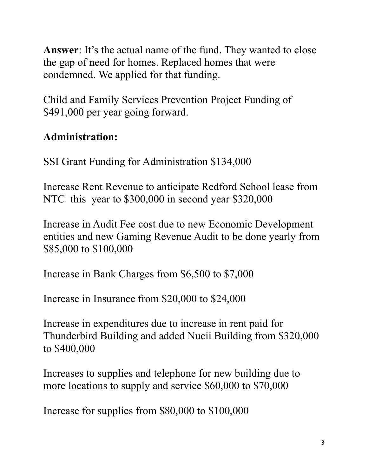**Answer**: It's the actual name of the fund. They wanted to close the gap of need for homes. Replaced homes that were condemned. We applied for that funding.

Child and Family Services Prevention Project Funding of \$491,000 per year going forward.

# **Administration:**

SSI Grant Funding for Administration \$134,000

Increase Rent Revenue to anticipate Redford School lease from NTC this year to \$300,000 in second year \$320,000

Increase in Audit Fee cost due to new Economic Development entities and new Gaming Revenue Audit to be done yearly from \$85,000 to \$100,000

Increase in Bank Charges from \$6,500 to \$7,000

Increase in Insurance from \$20,000 to \$24,000

Increase in expenditures due to increase in rent paid for Thunderbird Building and added Nucii Building from \$320,000 to \$400,000

Increases to supplies and telephone for new building due to more locations to supply and service \$60,000 to \$70,000

Increase for supplies from \$80,000 to \$100,000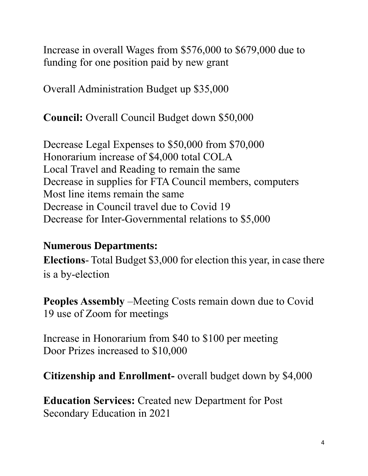Increase in overall Wages from \$576,000 to \$679,000 due to funding for one position paid by new grant

Overall Administration Budget up \$35,000

**Council:** Overall Council Budget down \$50,000

Decrease Legal Expenses to \$50,000 from \$70,000 Honorarium increase of \$4,000 total COLA Local Travel and Reading to remain the same Decrease in supplies for FTA Council members, computers Most line items remain the same Decrease in Council travel due to Covid 19 Decrease for Inter-Governmental relations to \$5,000

#### **Numerous Departments:**

**Elections**- Total Budget \$3,000 for election this year, in case there is a by-election

**Peoples Assembly** –Meeting Costs remain down due to Covid 19 use of Zoom for meetings

Increase in Honorarium from \$40 to \$100 per meeting Door Prizes increased to \$10,000

**Citizenship and Enrollment-** overall budget down by \$4,000

**Education Services:** Created new Department for Post Secondary Education in 2021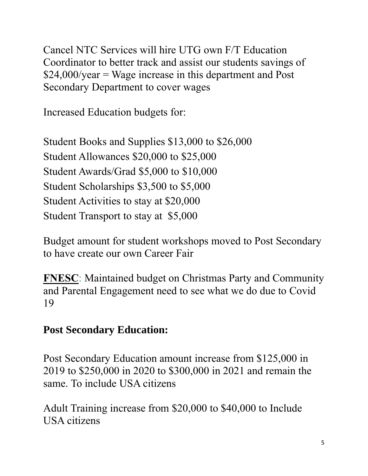Cancel NTC Services will hire UTG own F/T Education Coordinator to better track and assist our students savings of \$24,000/year = Wage increase in this department and Post Secondary Department to cover wages

Increased Education budgets for:

Student Books and Supplies \$13,000 to \$26,000 Student Allowances \$20,000 to \$25,000 Student Awards/Grad \$5,000 to \$10,000 Student Scholarships \$3,500 to \$5,000 Student Activities to stay at \$20,000 Student Transport to stay at \$5,000

Budget amount for student workshops moved to Post Secondary to have create our own Career Fair

**FNESC**: Maintained budget on Christmas Party and Community and Parental Engagement need to see what we do due to Covid 19

#### **Post Secondary Education:**

Post Secondary Education amount increase from \$125,000 in 2019 to \$250,000 in 2020 to \$300,000 in 2021 and remain the same. To include USA citizens

Adult Training increase from \$20,000 to \$40,000 to Include USA citizens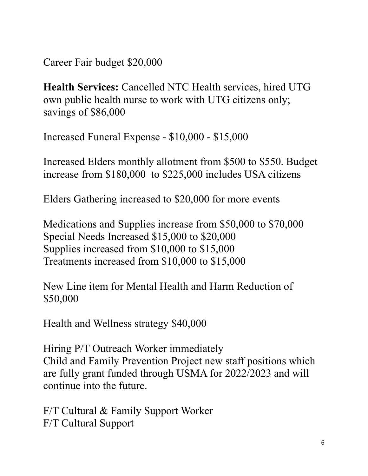Career Fair budget \$20,000

**Health Services:** Cancelled NTC Health services, hired UTG own public health nurse to work with UTG citizens only; savings of \$86,000

Increased Funeral Expense - \$10,000 - \$15,000

Increased Elders monthly allotment from \$500 to \$550. Budget increase from \$180,000 to \$225,000 includes USA citizens

Elders Gathering increased to \$20,000 for more events

Medications and Supplies increase from \$50,000 to \$70,000 Special Needs Increased \$15,000 to \$20,000 Supplies increased from \$10,000 to \$15,000 Treatments increased from \$10,000 to \$15,000

New Line item for Mental Health and Harm Reduction of \$50,000

Health and Wellness strategy \$40,000

Hiring P/T Outreach Worker immediately Child and Family Prevention Project new staff positions which are fully grant funded through USMA for 2022/2023 and will continue into the future.

F/T Cultural & Family Support Worker F/T Cultural Support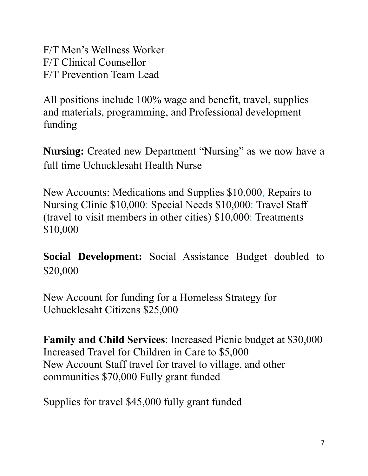F/T Men's Wellness Worker F/T Clinical Counsellor F/T Prevention Team Lead

All positions include 100% wage and benefit, travel, supplies and materials, programming, and Professional development funding

**Nursing:** Created new Department "Nursing" as we now have a full time Uchucklesaht Health Nurse

New Accounts: Medications and Supplies \$10,000, Repairs to Nursing Clinic \$10,000: Special Needs \$10,000: Travel Staff (travel to visit members in other cities) \$10,000: Treatments \$10,000

**Social Development:** Social Assistance Budget doubled to \$20,000

New Account for funding for a Homeless Strategy for Uchucklesaht Citizens \$25,000

**Family and Child Services**: Increased Picnic budget at \$30,000 Increased Travel for Children in Care to \$5,000 New Account Staff travel for travel to village, and other communities \$70,000 Fully grant funded

Supplies for travel \$45,000 fully grant funded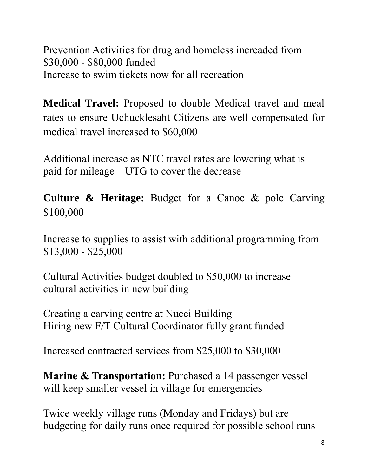Prevention Activities for drug and homeless increaded from \$30,000 - \$80,000 funded Increase to swim tickets now for all recreation

**Medical Travel:** Proposed to double Medical travel and meal rates to ensure Uchucklesaht Citizens are well compensated for medical travel increased to \$60,000

Additional increase as NTC travel rates are lowering what is paid for mileage – UTG to cover the decrease

**Culture & Heritage:** Budget for a Canoe & pole Carving \$100,000

Increase to supplies to assist with additional programming from \$13,000 - \$25,000

Cultural Activities budget doubled to \$50,000 to increase cultural activities in new building

Creating a carving centre at Nucci Building Hiring new F/T Cultural Coordinator fully grant funded

Increased contracted services from \$25,000 to \$30,000

**Marine & Transportation:** Purchased a 14 passenger vessel will keep smaller vessel in village for emergencies

Twice weekly village runs (Monday and Fridays) but are budgeting for daily runs once required for possible school runs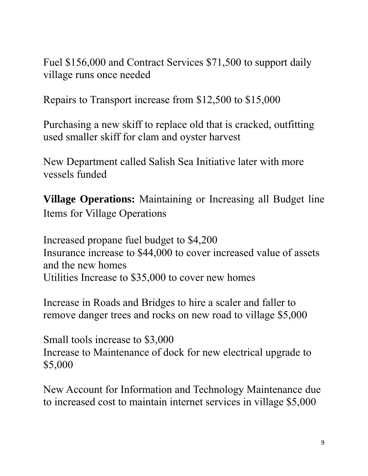Fuel \$156,000 and Contract Services \$71,500 to support daily village runs once needed

Repairs to Transport increase from \$12,500 to \$15,000

Purchasing a new skiff to replace old that is cracked, outfitting used smaller skiff for clam and oyster harvest

New Department called Salish Sea Initiative later with more vessels funded

**Village Operations:** Maintaining or Increasing all Budget line Items for Village Operations

Increased propane fuel budget to \$4,200 Insurance increase to \$44,000 to cover increased value of assets and the new homes Utilities Increase to \$35,000 to cover new homes

Increase in Roads and Bridges to hire a scaler and faller to remove danger trees and rocks on new road to village \$5,000

Small tools increase to \$3,000 Increase to Maintenance of dock for new electrical upgrade to \$5,000

New Account for Information and Technology Maintenance due to increased cost to maintain internet services in village \$5,000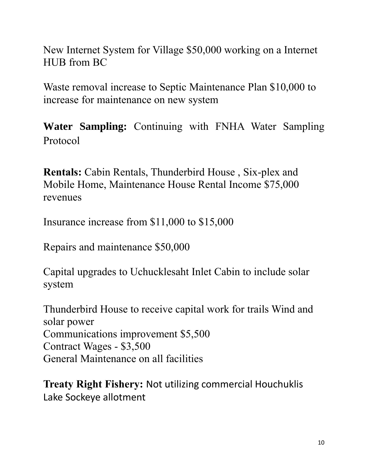New Internet System for Village \$50,000 working on a Internet HUB from BC

Waste removal increase to Septic Maintenance Plan \$10,000 to increase for maintenance on new system

**Water Sampling:** Continuing with FNHA Water Sampling Protocol

**Rentals:** Cabin Rentals, Thunderbird House , Six-plex and Mobile Home, Maintenance House Rental Income \$75,000 revenues

Insurance increase from \$11,000 to \$15,000

Repairs and maintenance \$50,000

Capital upgrades to Uchucklesaht Inlet Cabin to include solar system

Thunderbird House to receive capital work for trails Wind and solar power Communications improvement \$5,500 Contract Wages - \$3,500 General Maintenance on all facilities

**Treaty Right Fishery:** Not utilizing commercial Houchuklis Lake Sockeye allotment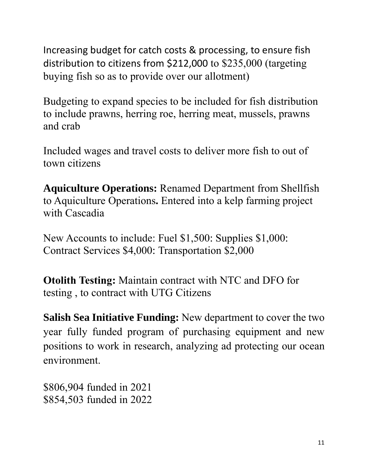Increasing budget for catch costs & processing, to ensure fish distribution to citizens from \$212,000 to \$235,000 (targeting buying fish so as to provide over our allotment)

Budgeting to expand species to be included for fish distribution to include prawns, herring roe, herring meat, mussels, prawns and crab

Included wages and travel costs to deliver more fish to out of town citizens

**Aquiculture Operations:** Renamed Department from Shellfish to Aquiculture Operations**.** Entered into a kelp farming project with Cascadia

New Accounts to include: Fuel \$1,500: Supplies \$1,000: Contract Services \$4,000: Transportation \$2,000

**Otolith Testing:** Maintain contract with NTC and DFO for testing , to contract with UTG Citizens

**Salish Sea Initiative Funding:** New department to cover the two year fully funded program of purchasing equipment and new positions to work in research, analyzing ad protecting our ocean environment.

\$806,904 funded in 2021 \$854,503 funded in 2022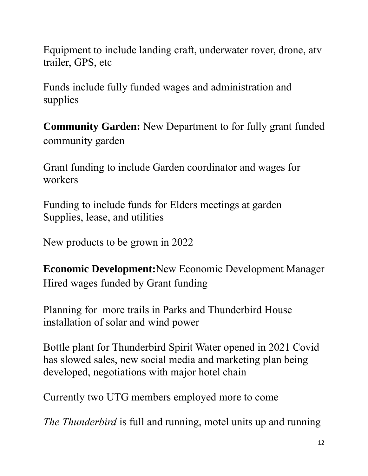Equipment to include landing craft, underwater rover, drone, atv trailer, GPS, etc

Funds include fully funded wages and administration and supplies

**Community Garden:** New Department to for fully grant funded community garden

Grant funding to include Garden coordinator and wages for workers

Funding to include funds for Elders meetings at garden Supplies, lease, and utilities

New products to be grown in 2022

**Economic Development:**New Economic Development Manager Hired wages funded by Grant funding

Planning for more trails in Parks and Thunderbird House installation of solar and wind power

Bottle plant for Thunderbird Spirit Water opened in 2021 Covid has slowed sales, new social media and marketing plan being developed, negotiations with major hotel chain

Currently two UTG members employed more to come

*The Thunderbird* is full and running, motel units up and running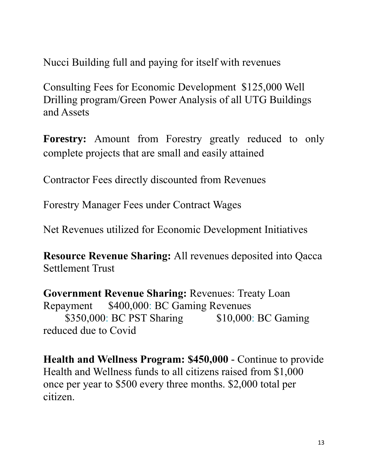Nucci Building full and paying for itself with revenues

Consulting Fees for Economic Development \$125,000 Well Drilling program/Green Power Analysis of all UTG Buildings and Assets

**Forestry:** Amount from Forestry greatly reduced to only complete projects that are small and easily attained

Contractor Fees directly discounted from Revenues

Forestry Manager Fees under Contract Wages

Net Revenues utilized for Economic Development Initiatives

**Resource Revenue Sharing:** All revenues deposited into Qacca Settlement Trust

**Government Revenue Sharing:** Revenues: Treaty Loan Repayment \$400,000: BC Gaming Revenues \$350,000: BC PST Sharing \$10,000: BC Gaming reduced due to Covid

**Health and Wellness Program: \$450,000** - Continue to provide Health and Wellness funds to all citizens raised from \$1,000 once per year to \$500 every three months. \$2,000 total per citizen.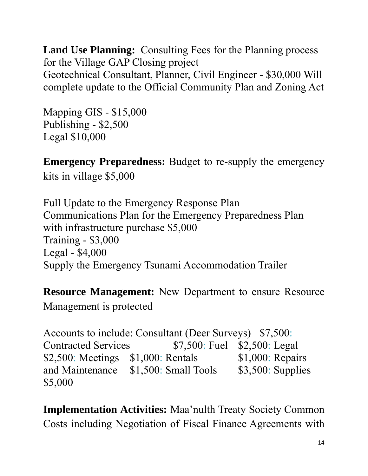**Land Use Planning:** Consulting Fees for the Planning process for the Village GAP Closing project Geotechnical Consultant, Planner, Civil Engineer - \$30,000 Will complete update to the Official Community Plan and Zoning Act

Mapping GIS - \$15,000 Publishing - \$2,500 Legal \$10,000

**Emergency Preparedness:** Budget to re-supply the emergency kits in village \$5,000

Full Update to the Emergency Response Plan Communications Plan for the Emergency Preparedness Plan with infrastructure purchase \$5,000 Training - \$3,000 Legal - \$4,000 Supply the Emergency Tsunami Accommodation Trailer

**Resource Management:** New Department to ensure Resource Management is protected

Accounts to include: Consultant (Deer Surveys) \$7,500: Contracted Services \$7,500: Fuel \$2,500: Legal \$2,500: Meetings \$1,000: Rentals \$1,000: Repairs and Maintenance \$1,500: Small Tools \$3,500: Supplies \$5,000

**Implementation Activities:** Maa'nulth Treaty Society Common Costs including Negotiation of Fiscal Finance Agreements with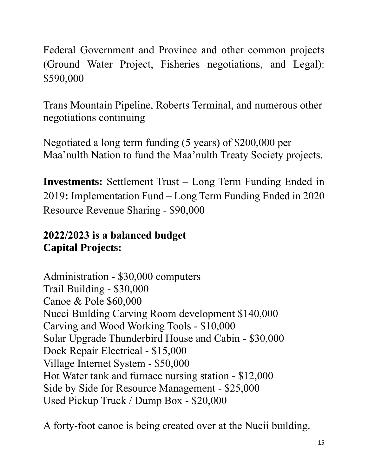Federal Government and Province and other common projects (Ground Water Project, Fisheries negotiations, and Legal): \$590,000

Trans Mountain Pipeline, Roberts Terminal, and numerous other negotiations continuing

Negotiated a long term funding (5 years) of \$200,000 per Maa'nulth Nation to fund the Maa'nulth Treaty Society projects.

**Investments:** Settlement Trust – Long Term Funding Ended in 2019**:** Implementation Fund – Long Term Funding Ended in 2020 Resource Revenue Sharing - \$90,000

#### **2022/2023 is a balanced budget Capital Projects:**

Administration - \$30,000 computers Trail Building - \$30,000 Canoe & Pole \$60,000 Nucci Building Carving Room development \$140,000 Carving and Wood Working Tools - \$10,000 Solar Upgrade Thunderbird House and Cabin - \$30,000 Dock Repair Electrical - \$15,000 Village Internet System - \$50,000 Hot Water tank and furnace nursing station - \$12,000 Side by Side for Resource Management - \$25,000 Used Pickup Truck / Dump Box - \$20,000

A forty-foot canoe is being created over at the Nucii building.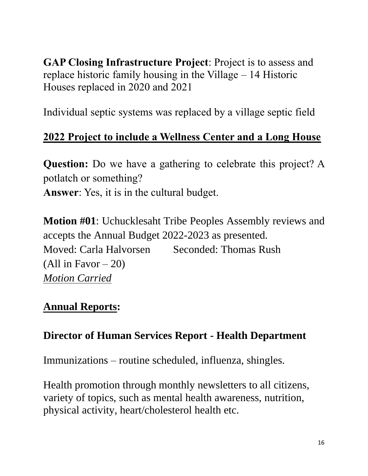**GAP Closing Infrastructure Project**: Project is to assess and replace historic family housing in the Village – 14 Historic Houses replaced in 2020 and 2021

Individual septic systems was replaced by a village septic field

#### **2022 Project to include a Wellness Center and a Long House**

**Question:** Do we have a gathering to celebrate this project? A potlatch or something? **Answer**: Yes, it is in the cultural budget.

**Motion #01**: Uchucklesaht Tribe Peoples Assembly reviews and accepts the Annual Budget 2022-2023 as presented. Moved: Carla Halvorsen Seconded: Thomas Rush (All in Favor  $-20$ ) *Motion Carried*

### **Annual Reports:**

#### **Director of Human Services Report - Health Department**

Immunizations – routine scheduled, influenza, shingles.

Health promotion through monthly newsletters to all citizens, variety of topics, such as mental health awareness, nutrition, physical activity, heart/cholesterol health etc.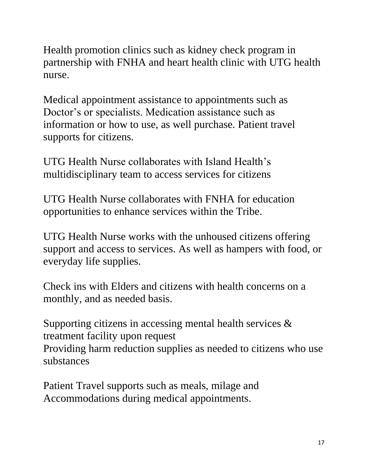Health promotion clinics such as kidney check program in partnership with FNHA and heart health clinic with UTG health nurse.

Medical appointment assistance to appointments such as Doctor's or specialists. Medication assistance such as information or how to use, as well purchase. Patient travel supports for citizens.

UTG Health Nurse collaborates with Island Health's multidisciplinary team to access services for citizens

UTG Health Nurse collaborates with FNHA for education opportunities to enhance services within the Tribe.

UTG Health Nurse works with the unhoused citizens offering support and access to services. As well as hampers with food, or everyday life supplies.

Check ins with Elders and citizens with health concerns on a monthly, and as needed basis.

Supporting citizens in accessing mental health services & treatment facility upon request Providing harm reduction supplies as needed to citizens who use substances

Patient Travel supports such as meals, milage and Accommodations during medical appointments.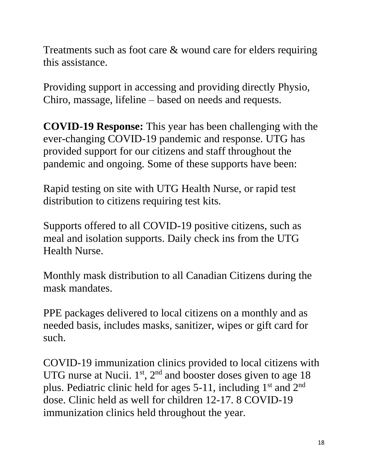Treatments such as foot care & wound care for elders requiring this assistance.

Providing support in accessing and providing directly Physio, Chiro, massage, lifeline – based on needs and requests.

**COVID-19 Response:** This year has been challenging with the ever-changing COVID-19 pandemic and response. UTG has provided support for our citizens and staff throughout the pandemic and ongoing. Some of these supports have been:

Rapid testing on site with UTG Health Nurse, or rapid test distribution to citizens requiring test kits.

Supports offered to all COVID-19 positive citizens, such as meal and isolation supports. Daily check ins from the UTG Health Nurse.

Monthly mask distribution to all Canadian Citizens during the mask mandates.

PPE packages delivered to local citizens on a monthly and as needed basis, includes masks, sanitizer, wipes or gift card for such.

COVID-19 immunization clinics provided to local citizens with UTG nurse at Nucii.  $1<sup>st</sup>$ ,  $2<sup>nd</sup>$  and booster doses given to age 18 plus. Pediatric clinic held for ages  $5-11$ , including  $1<sup>st</sup>$  and  $2<sup>nd</sup>$ dose. Clinic held as well for children 12-17. 8 COVID-19 immunization clinics held throughout the year.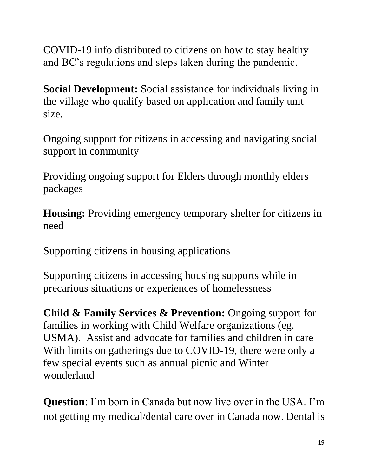COVID-19 info distributed to citizens on how to stay healthy and BC's regulations and steps taken during the pandemic.

**Social Development:** Social assistance for individuals living in the village who qualify based on application and family unit size.

Ongoing support for citizens in accessing and navigating social support in community

Providing ongoing support for Elders through monthly elders packages

**Housing:** Providing emergency temporary shelter for citizens in need

Supporting citizens in housing applications

Supporting citizens in accessing housing supports while in precarious situations or experiences of homelessness

**Child & Family Services & Prevention:** Ongoing support for families in working with Child Welfare organizations (eg. USMA). Assist and advocate for families and children in care With limits on gatherings due to COVID-19, there were only a few special events such as annual picnic and Winter wonderland

**Question**: I'm born in Canada but now live over in the USA. I'm not getting my medical/dental care over in Canada now. Dental is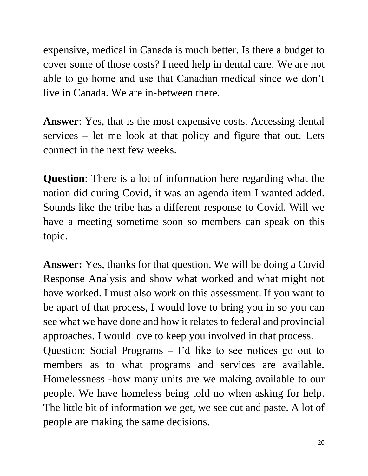expensive, medical in Canada is much better. Is there a budget to cover some of those costs? I need help in dental care. We are not able to go home and use that Canadian medical since we don't live in Canada. We are in-between there.

**Answer**: Yes, that is the most expensive costs. Accessing dental services – let me look at that policy and figure that out. Lets connect in the next few weeks.

**Question**: There is a lot of information here regarding what the nation did during Covid, it was an agenda item I wanted added. Sounds like the tribe has a different response to Covid. Will we have a meeting sometime soon so members can speak on this topic.

**Answer:** Yes, thanks for that question. We will be doing a Covid Response Analysis and show what worked and what might not have worked. I must also work on this assessment. If you want to be apart of that process, I would love to bring you in so you can see what we have done and how it relates to federal and provincial approaches. I would love to keep you involved in that process. Question: Social Programs – I'd like to see notices go out to members as to what programs and services are available. Homelessness -how many units are we making available to our people. We have homeless being told no when asking for help. The little bit of information we get, we see cut and paste. A lot of people are making the same decisions.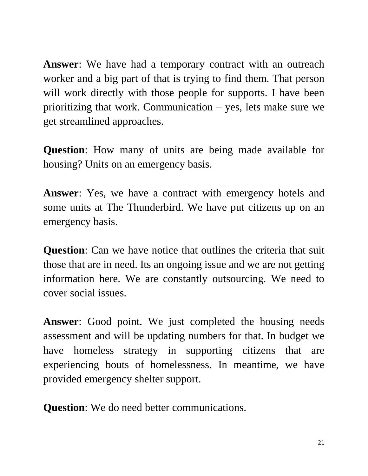**Answer**: We have had a temporary contract with an outreach worker and a big part of that is trying to find them. That person will work directly with those people for supports. I have been prioritizing that work. Communication – yes, lets make sure we get streamlined approaches.

**Question**: How many of units are being made available for housing? Units on an emergency basis.

**Answer**: Yes, we have a contract with emergency hotels and some units at The Thunderbird. We have put citizens up on an emergency basis.

**Question**: Can we have notice that outlines the criteria that suit those that are in need. Its an ongoing issue and we are not getting information here. We are constantly outsourcing. We need to cover social issues.

**Answer**: Good point. We just completed the housing needs assessment and will be updating numbers for that. In budget we have homeless strategy in supporting citizens that are experiencing bouts of homelessness. In meantime, we have provided emergency shelter support.

**Question**: We do need better communications.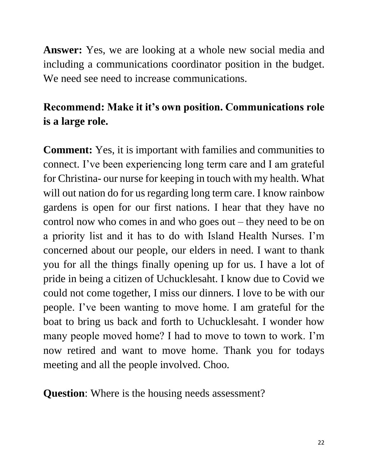**Answer:** Yes, we are looking at a whole new social media and including a communications coordinator position in the budget. We need see need to increase communications.

## **Recommend: Make it it's own position. Communications role is a large role.**

**Comment:** Yes, it is important with families and communities to connect. I've been experiencing long term care and I am grateful for Christina- our nurse for keeping in touch with my health. What will out nation do for us regarding long term care. I know rainbow gardens is open for our first nations. I hear that they have no control now who comes in and who goes out – they need to be on a priority list and it has to do with Island Health Nurses. I'm concerned about our people, our elders in need. I want to thank you for all the things finally opening up for us. I have a lot of pride in being a citizen of Uchucklesaht. I know due to Covid we could not come together, I miss our dinners. I love to be with our people. I've been wanting to move home. I am grateful for the boat to bring us back and forth to Uchucklesaht. I wonder how many people moved home? I had to move to town to work. I'm now retired and want to move home. Thank you for todays meeting and all the people involved. Choo.

**Question:** Where is the housing needs assessment?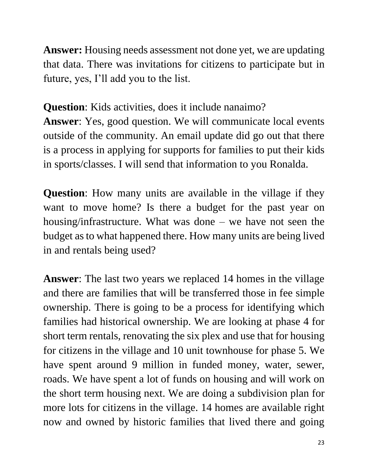**Answer:** Housing needs assessment not done yet, we are updating that data. There was invitations for citizens to participate but in future, yes, I'll add you to the list.

**Question**: Kids activities, does it include nanaimo? **Answer**: Yes, good question. We will communicate local events outside of the community. An email update did go out that there is a process in applying for supports for families to put their kids in sports/classes. I will send that information to you Ronalda.

**Question**: How many units are available in the village if they want to move home? Is there a budget for the past year on housing/infrastructure. What was done – we have not seen the budget as to what happened there. How many units are being lived in and rentals being used?

**Answer**: The last two years we replaced 14 homes in the village and there are families that will be transferred those in fee simple ownership. There is going to be a process for identifying which families had historical ownership. We are looking at phase 4 for short term rentals, renovating the six plex and use that for housing for citizens in the village and 10 unit townhouse for phase 5. We have spent around 9 million in funded money, water, sewer, roads. We have spent a lot of funds on housing and will work on the short term housing next. We are doing a subdivision plan for more lots for citizens in the village. 14 homes are available right now and owned by historic families that lived there and going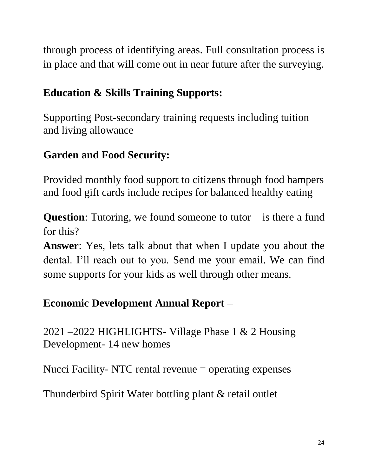through process of identifying areas. Full consultation process is in place and that will come out in near future after the surveying.

### **Education & Skills Training Supports:**

Supporting Post-secondary training requests including tuition and living allowance

## **Garden and Food Security:**

Provided monthly food support to citizens through food hampers and food gift cards include recipes for balanced healthy eating

**Question**: Tutoring, we found someone to tutor – is there a fund for this?

**Answer**: Yes, lets talk about that when I update you about the dental. I'll reach out to you. Send me your email. We can find some supports for your kids as well through other means.

### **Economic Development Annual Report –**

2021 –2022 HIGHLIGHTS- Village Phase 1 & 2 Housing Development- 14 new homes

Nucci Facility- NTC rental revenue = operating expenses

Thunderbird Spirit Water bottling plant & retail outlet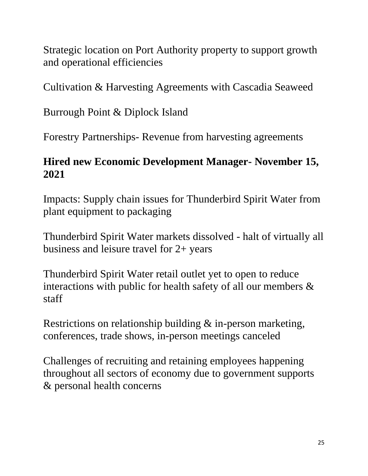Strategic location on Port Authority property to support growth and operational efficiencies

Cultivation & Harvesting Agreements with Cascadia Seaweed

Burrough Point & Diplock Island

Forestry Partnerships- Revenue from harvesting agreements

#### **Hired new Economic Development Manager- November 15, 2021**

Impacts: Supply chain issues for Thunderbird Spirit Water from plant equipment to packaging

Thunderbird Spirit Water markets dissolved - halt of virtually all business and leisure travel for 2+ years

Thunderbird Spirit Water retail outlet yet to open to reduce interactions with public for health safety of all our members & staff

Restrictions on relationship building & in-person marketing, conferences, trade shows, in-person meetings canceled

Challenges of recruiting and retaining employees happening throughout all sectors of economy due to government supports & personal health concerns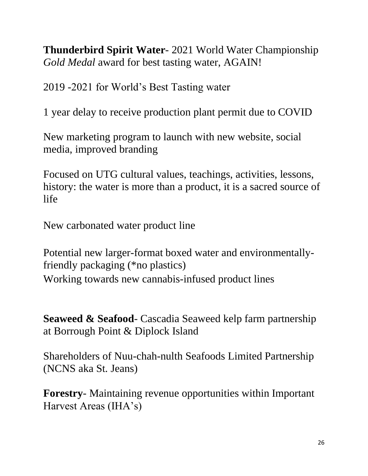**Thunderbird Spirit Water**- 2021 World Water Championship *Gold Medal* award for best tasting water, AGAIN!

2019 -2021 for World's Best Tasting water

1 year delay to receive production plant permit due to COVID

New marketing program to launch with new website, social media, improved branding

Focused on UTG cultural values, teachings, activities, lessons, history: the water is more than a product, it is a sacred source of life

New carbonated water product line

Potential new larger-format boxed water and environmentallyfriendly packaging (\*no plastics) Working towards new cannabis-infused product lines

**Seaweed & Seafood**- Cascadia Seaweed kelp farm partnership at Borrough Point & Diplock Island

Shareholders of Nuu-chah-nulth Seafoods Limited Partnership (NCNS aka St. Jeans)

**Forestry**- Maintaining revenue opportunities within Important Harvest Areas (IHA's)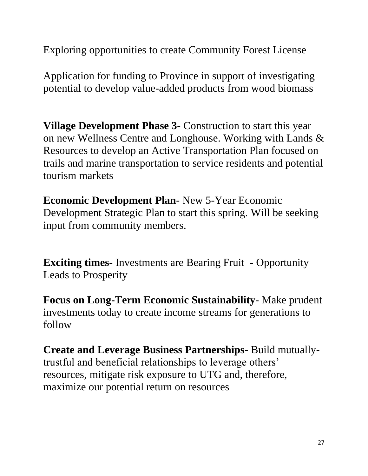Exploring opportunities to create Community Forest License

Application for funding to Province in support of investigating potential to develop value-added products from wood biomass

**Village Development Phase 3**- Construction to start this year on new Wellness Centre and Longhouse. Working with Lands & Resources to develop an Active Transportation Plan focused on trails and marine transportation to service residents and potential tourism markets

**Economic Development Plan**- New 5-Year Economic Development Strategic Plan to start this spring. Will be seeking input from community members.

**Exciting times-** Investments are Bearing Fruit - Opportunity Leads to Prosperity

**Focus on Long-Term Economic Sustainability**- Make prudent investments today to create income streams for generations to follow

**Create and Leverage Business Partnerships**- Build mutuallytrustful and beneficial relationships to leverage others' resources, mitigate risk exposure to UTG and, therefore, maximize our potential return on resources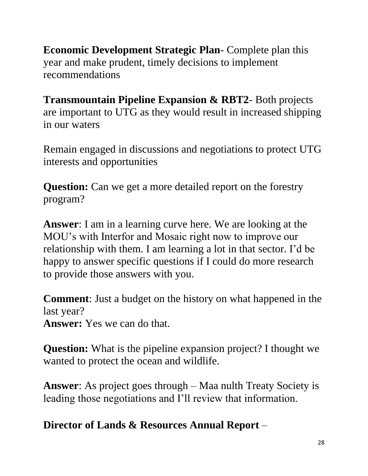**Economic Development Strategic Plan**- Complete plan this year and make prudent, timely decisions to implement recommendations

**Transmountain Pipeline Expansion & RBT2**- Both projects are important to UTG as they would result in increased shipping in our waters

Remain engaged in discussions and negotiations to protect UTG interests and opportunities

**Question:** Can we get a more detailed report on the forestry program?

**Answer**: I am in a learning curve here. We are looking at the MOU's with Interfor and Mosaic right now to improve our relationship with them. I am learning a lot in that sector. I'd be happy to answer specific questions if I could do more research to provide those answers with you.

**Comment**: Just a budget on the history on what happened in the last year?

**Answer:** Yes we can do that.

**Question:** What is the pipeline expansion project? I thought we wanted to protect the ocean and wildlife.

**Answer**: As project goes through – Maa nulth Treaty Society is leading those negotiations and I'll review that information.

**Director of Lands & Resources Annual Report** –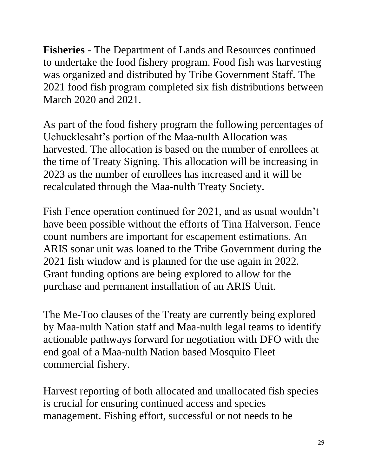**Fisheries** - The Department of Lands and Resources continued to undertake the food fishery program. Food fish was harvesting was organized and distributed by Tribe Government Staff. The 2021 food fish program completed six fish distributions between March 2020 and 2021.

As part of the food fishery program the following percentages of Uchucklesaht's portion of the Maa-nulth Allocation was harvested. The allocation is based on the number of enrollees at the time of Treaty Signing. This allocation will be increasing in 2023 as the number of enrollees has increased and it will be recalculated through the Maa-nulth Treaty Society.

Fish Fence operation continued for 2021, and as usual wouldn't have been possible without the efforts of Tina Halverson. Fence count numbers are important for escapement estimations. An ARIS sonar unit was loaned to the Tribe Government during the 2021 fish window and is planned for the use again in 2022. Grant funding options are being explored to allow for the purchase and permanent installation of an ARIS Unit.

The Me-Too clauses of the Treaty are currently being explored by Maa-nulth Nation staff and Maa-nulth legal teams to identify actionable pathways forward for negotiation with DFO with the end goal of a Maa-nulth Nation based Mosquito Fleet commercial fishery.

Harvest reporting of both allocated and unallocated fish species is crucial for ensuring continued access and species management. Fishing effort, successful or not needs to be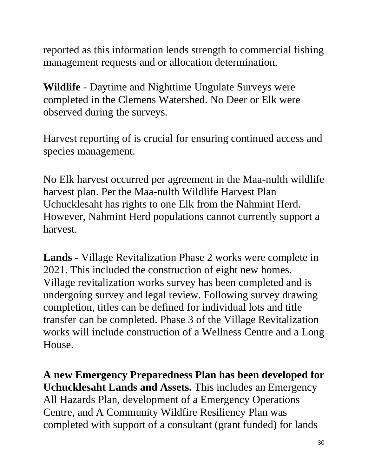reported as this information lends strength to commercial fishing management requests and or allocation determination.

**Wildlife** - Daytime and Nighttime Ungulate Surveys were completed in the Clemens Watershed. No Deer or Elk were observed during the surveys.

Harvest reporting of is crucial for ensuring continued access and species management.

No Elk harvest occurred per agreement in the Maa-nulth wildlife harvest plan. Per the Maa-nulth Wildlife Harvest Plan Uchucklesaht has rights to one Elk from the Nahmint Herd. However, Nahmint Herd populations cannot currently support a harvest.

**Lands** - Village Revitalization Phase 2 works were complete in 2021. This included the construction of eight new homes. Village revitalization works survey has been completed and is undergoing survey and legal review. Following survey drawing completion, titles can be defined for individual lots and title transfer can be completed. Phase 3 of the Village Revitalization works will include construction of a Wellness Centre and a Long House.

**A new Emergency Preparedness Plan has been developed for Uchucklesaht Lands and Assets.** This includes an Emergency All Hazards Plan, development of a Emergency Operations Centre, and A Community Wildfire Resiliency Plan was completed with support of a consultant (grant funded) for lands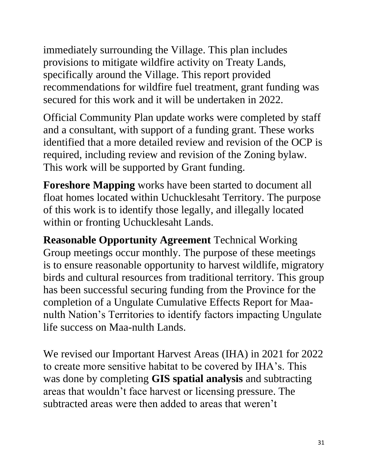immediately surrounding the Village. This plan includes provisions to mitigate wildfire activity on Treaty Lands, specifically around the Village. This report provided recommendations for wildfire fuel treatment, grant funding was secured for this work and it will be undertaken in 2022.

Official Community Plan update works were completed by staff and a consultant, with support of a funding grant. These works identified that a more detailed review and revision of the OCP is required, including review and revision of the Zoning bylaw. This work will be supported by Grant funding.

**Foreshore Mapping** works have been started to document all float homes located within Uchucklesaht Territory. The purpose of this work is to identify those legally, and illegally located within or fronting Uchucklesaht Lands.

**Reasonable Opportunity Agreement** Technical Working Group meetings occur monthly. The purpose of these meetings is to ensure reasonable opportunity to harvest wildlife, migratory birds and cultural resources from traditional territory. This group has been successful securing funding from the Province for the completion of a Ungulate Cumulative Effects Report for Maanulth Nation's Territories to identify factors impacting Ungulate life success on Maa-nulth Lands.

We revised our Important Harvest Areas (IHA) in 2021 for 2022 to create more sensitive habitat to be covered by IHA's. This was done by completing **GIS spatial analysis** and subtracting areas that wouldn't face harvest or licensing pressure. The subtracted areas were then added to areas that weren't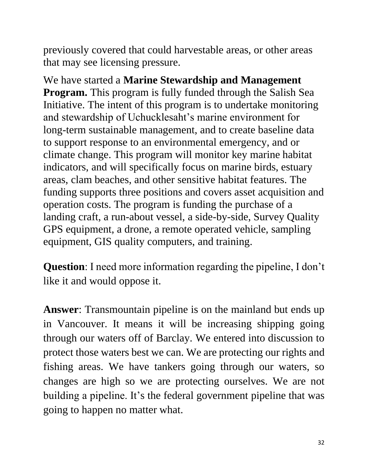previously covered that could harvestable areas, or other areas that may see licensing pressure.

We have started a **Marine Stewardship and Management Program.** This program is fully funded through the Salish Sea Initiative. The intent of this program is to undertake monitoring and stewardship of Uchucklesaht's marine environment for long-term sustainable management, and to create baseline data to support response to an environmental emergency, and or climate change. This program will monitor key marine habitat indicators, and will specifically focus on marine birds, estuary areas, clam beaches, and other sensitive habitat features. The funding supports three positions and covers asset acquisition and operation costs. The program is funding the purchase of a landing craft, a run-about vessel, a side-by-side, Survey Quality GPS equipment, a drone, a remote operated vehicle, sampling equipment, GIS quality computers, and training.

**Question**: I need more information regarding the pipeline, I don't like it and would oppose it.

**Answer**: Transmountain pipeline is on the mainland but ends up in Vancouver. It means it will be increasing shipping going through our waters off of Barclay. We entered into discussion to protect those waters best we can. We are protecting our rights and fishing areas. We have tankers going through our waters, so changes are high so we are protecting ourselves. We are not building a pipeline. It's the federal government pipeline that was going to happen no matter what.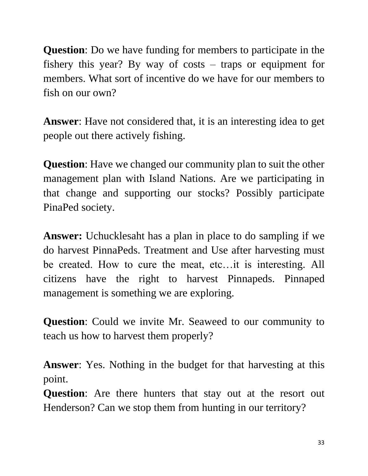**Question**: Do we have funding for members to participate in the fishery this year? By way of costs – traps or equipment for members. What sort of incentive do we have for our members to fish on our own?

**Answer**: Have not considered that, it is an interesting idea to get people out there actively fishing.

**Question**: Have we changed our community plan to suit the other management plan with Island Nations. Are we participating in that change and supporting our stocks? Possibly participate PinaPed society.

**Answer:** Uchucklesaht has a plan in place to do sampling if we do harvest PinnaPeds. Treatment and Use after harvesting must be created. How to cure the meat, etc…it is interesting. All citizens have the right to harvest Pinnapeds. Pinnaped management is something we are exploring.

**Question**: Could we invite Mr. Seaweed to our community to teach us how to harvest them properly?

**Answer**: Yes. Nothing in the budget for that harvesting at this point.

**Question**: Are there hunters that stay out at the resort out Henderson? Can we stop them from hunting in our territory?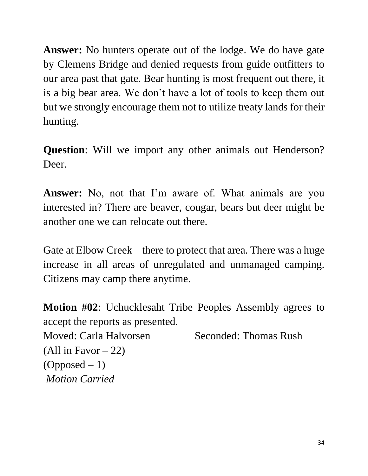**Answer:** No hunters operate out of the lodge. We do have gate by Clemens Bridge and denied requests from guide outfitters to our area past that gate. Bear hunting is most frequent out there, it is a big bear area. We don't have a lot of tools to keep them out but we strongly encourage them not to utilize treaty lands for their hunting.

**Question**: Will we import any other animals out Henderson? Deer.

**Answer:** No, not that I'm aware of. What animals are you interested in? There are beaver, cougar, bears but deer might be another one we can relocate out there.

Gate at Elbow Creek – there to protect that area. There was a huge increase in all areas of unregulated and unmanaged camping. Citizens may camp there anytime.

**Motion #02**: Uchucklesaht Tribe Peoples Assembly agrees to accept the reports as presented. Moved: Carla Halvorsen Seconded: Thomas Rush (All in Favor  $-22$ )  $(Opposed - 1)$ *Motion Carried*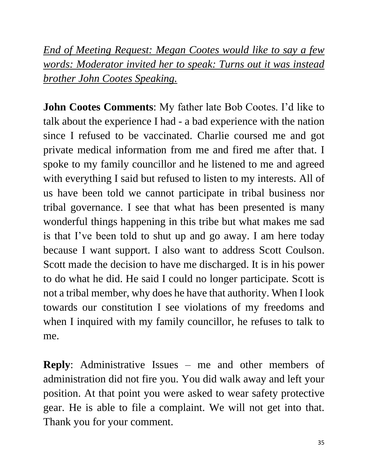*End of Meeting Request: Megan Cootes would like to say a few words: Moderator invited her to speak: Turns out it was instead brother John Cootes Speaking.*

**John Cootes Comments**: My father late Bob Cootes. I'd like to talk about the experience I had - a bad experience with the nation since I refused to be vaccinated. Charlie coursed me and got private medical information from me and fired me after that. I spoke to my family councillor and he listened to me and agreed with everything I said but refused to listen to my interests. All of us have been told we cannot participate in tribal business nor tribal governance. I see that what has been presented is many wonderful things happening in this tribe but what makes me sad is that I've been told to shut up and go away. I am here today because I want support. I also want to address Scott Coulson. Scott made the decision to have me discharged. It is in his power to do what he did. He said I could no longer participate. Scott is not a tribal member, why does he have that authority. When I look towards our constitution I see violations of my freedoms and when I inquired with my family councillor, he refuses to talk to me.

**Reply**: Administrative Issues – me and other members of administration did not fire you. You did walk away and left your position. At that point you were asked to wear safety protective gear. He is able to file a complaint. We will not get into that. Thank you for your comment.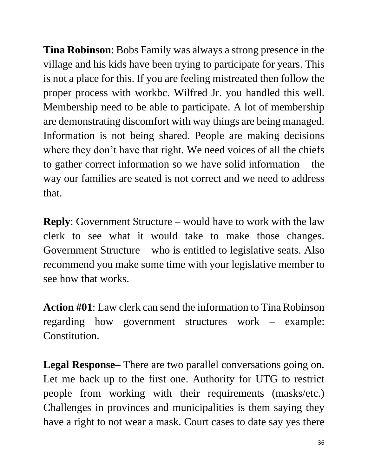**Tina Robinson**: Bobs Family was always a strong presence in the village and his kids have been trying to participate for years. This is not a place for this. If you are feeling mistreated then follow the proper process with workbc. Wilfred Jr. you handled this well. Membership need to be able to participate. A lot of membership are demonstrating discomfort with way things are being managed. Information is not being shared. People are making decisions where they don't have that right. We need voices of all the chiefs to gather correct information so we have solid information – the way our families are seated is not correct and we need to address that.

**Reply**: Government Structure – would have to work with the law clerk to see what it would take to make those changes. Government Structure – who is entitled to legislative seats. Also recommend you make some time with your legislative member to see how that works.

**Action #01**: Law clerk can send the information to Tina Robinson regarding how government structures work – example: Constitution.

**Legal Response–** There are two parallel conversations going on. Let me back up to the first one. Authority for UTG to restrict people from working with their requirements (masks/etc.) Challenges in provinces and municipalities is them saying they have a right to not wear a mask. Court cases to date say yes there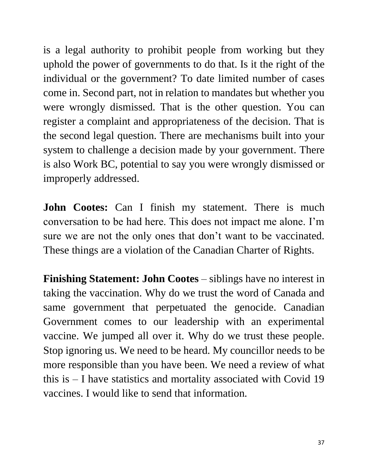is a legal authority to prohibit people from working but they uphold the power of governments to do that. Is it the right of the individual or the government? To date limited number of cases come in. Second part, not in relation to mandates but whether you were wrongly dismissed. That is the other question. You can register a complaint and appropriateness of the decision. That is the second legal question. There are mechanisms built into your system to challenge a decision made by your government. There is also Work BC, potential to say you were wrongly dismissed or improperly addressed.

**John Cootes:** Can I finish my statement. There is much conversation to be had here. This does not impact me alone. I'm sure we are not the only ones that don't want to be vaccinated. These things are a violation of the Canadian Charter of Rights.

**Finishing Statement: John Cootes** – siblings have no interest in taking the vaccination. Why do we trust the word of Canada and same government that perpetuated the genocide. Canadian Government comes to our leadership with an experimental vaccine. We jumped all over it. Why do we trust these people. Stop ignoring us. We need to be heard. My councillor needs to be more responsible than you have been. We need a review of what this is – I have statistics and mortality associated with Covid 19 vaccines. I would like to send that information.